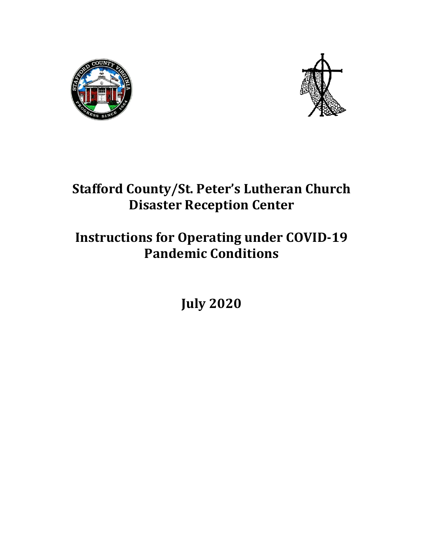



# **Stafford County/St. Peter's Lutheran Church Disaster Reception Center**

# **Instructions for Operating under COVID-19 Pandemic Conditions**

**July 2020**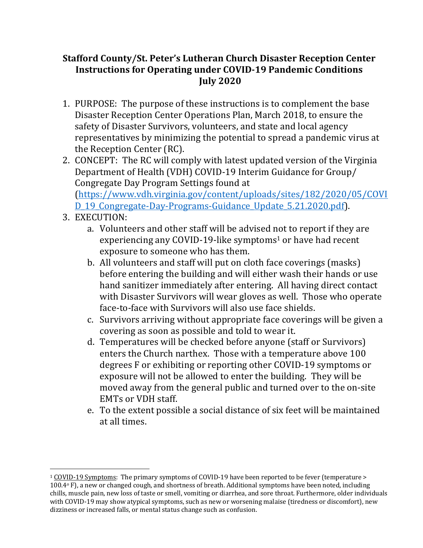### **Stafford County/St. Peter's Lutheran Church Disaster Reception Center Instructions for Operating under COVID-19 Pandemic Conditions July 2020**

- 1. PURPOSE: The purpose of these instructions is to complement the base Disaster Reception Center Operations Plan, March 2018, to ensure the safety of Disaster Survivors, volunteers, and state and local agency representatives by minimizing the potential to spread a pandemic virus at the Reception Center (RC).
- 2. CONCEPT: The RC will comply with latest updated version of the Virginia Department of Health (VDH) COVID-19 Interim Guidance for Group/ Congregate Day Program Settings found at (https://www.vdh.virginia.gov/content/uploads/sites/182/2020/05/COVI

D\_19\_Congregate-Day-Programs-Guidance\_Update\_5.21.2020.pdf).

- 3. EXECUTION:
	- a. Volunteers and other staff will be advised not to report if they are experiencing any COVID-19-like symptoms<sup>1</sup> or have had recent exposure to someone who has them.
	- b. All volunteers and staff will put on cloth face coverings (masks) before entering the building and will either wash their hands or use hand sanitizer immediately after entering. All having direct contact with Disaster Survivors will wear gloves as well. Those who operate face-to-face with Survivors will also use face shields.
	- c. Survivors arriving without appropriate face coverings will be given a covering as soon as possible and told to wear it.
	- d. Temperatures will be checked before anyone (staff or Survivors) enters the Church narthex. Those with a temperature above 100 degrees F or exhibiting or reporting other COVID-19 symptoms or exposure will not be allowed to enter the building. They will be moved away from the general public and turned over to the on-site EMTs or VDH staff.
	- e. To the extent possible a social distance of six feet will be maintained at all times.

<sup>&</sup>lt;sup>1</sup> COVID-19 Symptoms: The primary symptoms of COVID-19 have been reported to be fever (temperature >  $100.4\textdegree$  F), a new or changed cough, and shortness of breath. Additional symptoms have been noted, including chills, muscle pain, new loss of taste or smell, vomiting or diarrhea, and sore throat. Furthermore, older individuals with COVID-19 may show atypical symptoms, such as new or worsening malaise (tiredness or discomfort), new dizziness or increased falls, or mental status change such as confusion.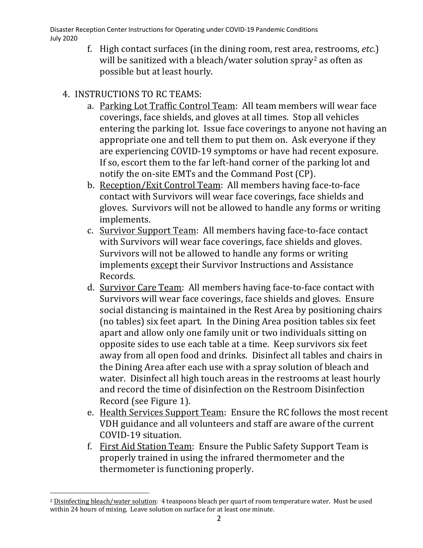Disaster Reception Center Instructions for Operating under COVID-19 Pandemic Conditions July 2020

f. High contact surfaces (in the dining room, rest area, restrooms, *etc.*) will be sanitized with a bleach/water solution spray<sup>2</sup> as often as possible but at least hourly.

## 4. INSTRUCTIONS TO RC TEAMS:

- a. Parking Lot Traffic Control Team: All team members will wear face coverings, face shields, and gloves at all times. Stop all vehicles entering the parking lot. Issue face coverings to anyone not having an appropriate one and tell them to put them on. Ask everyone if they are experiencing COVID-19 symptoms or have had recent exposure. If so, escort them to the far left-hand corner of the parking lot and notify the on-site EMTs and the Command Post (CP).
- b. Reception/Exit Control Team: All members having face-to-face contact with Survivors will wear face coverings, face shields and gloves. Survivors will not be allowed to handle any forms or writing implements.
- c. Survivor Support Team: All members having face-to-face contact with Survivors will wear face coverings, face shields and gloves. Survivors will not be allowed to handle any forms or writing implements except their Survivor Instructions and Assistance Records.
- d. Survivor Care Team: All members having face-to-face contact with Survivors will wear face coverings, face shields and gloves. Ensure social distancing is maintained in the Rest Area by positioning chairs (no tables) six feet apart. In the Dining Area position tables six feet apart and allow only one family unit or two individuals sitting on opposite sides to use each table at a time. Keep survivors six feet away from all open food and drinks. Disinfect all tables and chairs in the Dining Area after each use with a spray solution of bleach and water. Disinfect all high touch areas in the restrooms at least hourly and record the time of disinfection on the Restroom Disinfection Record (see Figure 1).
- e. Health Services Support Team: Ensure the RC follows the most recent VDH guidance and all volunteers and staff are aware of the current COVID-19 situation.
- f. First Aid Station Team: Ensure the Public Safety Support Team is properly trained in using the infrared thermometer and the thermometer is functioning properly.

<sup>&</sup>lt;sup>2</sup> Disinfecting bleach/water solution: 4 teaspoons bleach per quart of room temperature water. Must be used within 24 hours of mixing. Leave solution on surface for at least one minute.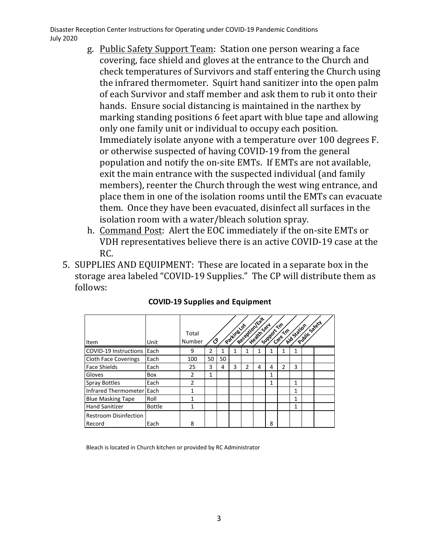Disaster Reception Center Instructions for Operating under COVID-19 Pandemic Conditions July 2020

- g. Public Safety Support Team: Station one person wearing a face covering, face shield and gloves at the entrance to the Church and check temperatures of Survivors and staff entering the Church using the infrared thermometer. Squirt hand sanitizer into the open palm of each Survivor and staff member and ask them to rub it onto their hands. Ensure social distancing is maintained in the narthex by marking standing positions 6 feet apart with blue tape and allowing only one family unit or individual to occupy each position. Immediately isolate anyone with a temperature over 100 degrees F. or otherwise suspected of having COVID-19 from the general population and notify the on-site EMTs. If EMTs are not available, exit the main entrance with the suspected individual (and family members), reenter the Church through the west wing entrance, and place them in one of the isolation rooms until the EMTs can evacuate them. Once they have been evacuated, disinfect all surfaces in the isolation room with a water/bleach solution spray.
- h. Command Post: Alert the EOC immediately if the on-site EMTs or VDH representatives believe there is an active COVID-19 case at the RC.
- 5. SUPPLIES AND EQUIPMENT: These are located in a separate box in the storage area labeled "COVID-19 Supplies." The CP will distribute them as follows:

|                                        |               | Total<br>Number | ්  |    | Parking Lat |   | Receptionlext<br>Heath Serv | Support Tim | Catern | Aid Station | Public stety |  |
|----------------------------------------|---------------|-----------------|----|----|-------------|---|-----------------------------|-------------|--------|-------------|--------------|--|
| Item                                   | Unit          |                 |    |    |             |   |                             |             |        |             |              |  |
| COVID-19 Instructions Each             |               | 9               |    |    |             |   |                             |             |        |             |              |  |
| <b>Cloth Face Coverings</b>            | Each          | 100             | 50 | 50 |             |   |                             |             |        |             |              |  |
| <b>Face Shields</b>                    | Each          | 25              | 3  | 4  | 3           | 2 | 4                           | 4           | 2      | 3           |              |  |
| Gloves                                 | Box           | 2               | 1  |    |             |   |                             | 1           |        |             |              |  |
| <b>Spray Bottles</b>                   | Each          | $\overline{2}$  |    |    |             |   |                             | 1           |        |             |              |  |
| Infrared Thermometer Each              |               | 1               |    |    |             |   |                             |             |        | 1           |              |  |
| <b>Blue Masking Tape</b>               | Roll          |                 |    |    |             |   |                             |             |        | 1           |              |  |
| <b>Hand Sanitizer</b>                  | <b>Bottle</b> | 1               |    |    |             |   |                             |             |        | 1           |              |  |
| <b>Restroom Disinfection</b><br>Record | Each          | 8               |    |    |             |   |                             | 8           |        |             |              |  |

### **COVID-19 Supplies and Equipment**

Bleach is located in Church kitchen or provided by RC Administrator